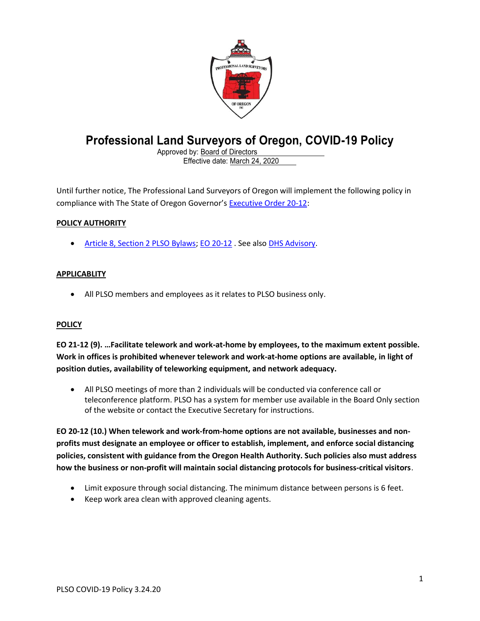

# Professional Land Surveyors of Oregon, COVID-19 Policy

 Approved by: Board of Directors Effective date: March 24, 2020

Until further notice, The Professional Land Surveyors of Oregon will implement the following policy in compliance with The State of Oregon Governor's **Executive Order 20-12:** 

## POLICY AUTHORITY

Article 8, Section 2 PLSO Bylaws; EO 20-12 . See also DHS Advisory.

### **APPLICABLITY**

All PLSO members and employees as it relates to PLSO business only.

### **POLICY**

EO 21-12 (9). …Facilitate telework and work-at-home by employees, to the maximum extent possible. Work in offices is prohibited whenever telework and work-at-home options are available, in light of position duties, availability of teleworking equipment, and network adequacy.

 All PLSO meetings of more than 2 individuals will be conducted via conference call or teleconference platform. PLSO has a system for member use available in the Board Only section of the website or contact the Executive Secretary for instructions.

EO 20-12 (10.) When telework and work-from-home options are not available, businesses and nonprofits must designate an employee or officer to establish, implement, and enforce social distancing policies, consistent with guidance from the Oregon Health Authority. Such policies also must address how the business or non-profit will maintain social distancing protocols for business-critical visitors.

- Limit exposure through social distancing. The minimum distance between persons is 6 feet.
- Keep work area clean with approved cleaning agents.